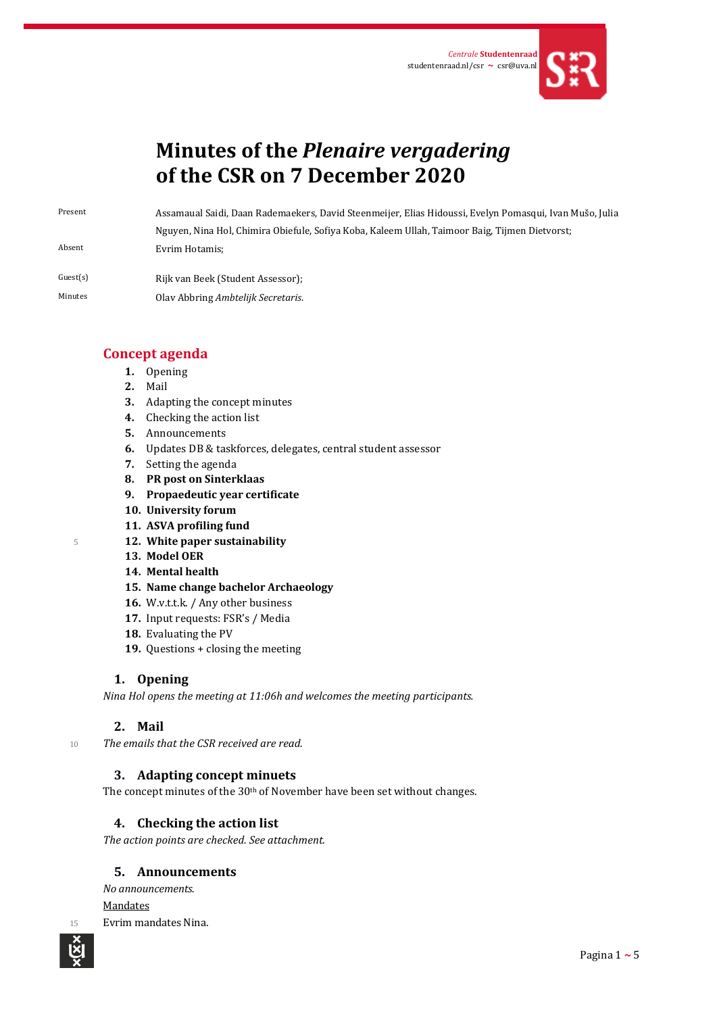

# **Minutes of the** *Plenaire vergadering* **of the CSR on 7 December 2020**

Present Assamaual Saidi, Daan Rademaekers, David Steenmeijer, Elias Hidoussi, Evelyn Pomasqui, Ivan Mušo, Julia Nguyen, Nina Hol, Chimira Obiefule, Sofiya Koba, Kaleem Ullah, Taimoor Baig, Tijmen Dietvorst; Absent Evrim Hotamis;

Guest(s) Rijk van Beek (Student Assessor); Minutes Olav Abbring *Ambtelijk Secretaris*.

# **Concept agenda**

- **1.** Opening
- **2.** Mail
- **3.** Adapting the concept minutes
- **4.** Checking the action list
- **5.** Announcements
- **6.** Updates DB & taskforces, delegates, central student assessor
- **7.** Setting the agenda
- **8. PR post on Sinterklaas**
- **9. Propaedeutic year certificate**
- **10. University forum**
- **11. ASVA profiling fund**
- <sup>5</sup> **12. White paper sustainability**
	- **13. Model OER**
	- **14. Mental health**
	- **15. Name change bachelor Archaeology**
	- **16.** W.v.t.t.k. / Any other business
	- **17.** Input requests: FSR's / Media
	- **18.** Evaluating the PV
	- **19.** Questions + closing the meeting

#### **1. Opening**

*Nina Hol opens the meeting at 11:06h and welcomes the meeting participants.* 

# **2. Mail**

<sup>10</sup> *The emails that the CSR received are read.*

# **3. Adapting concept minuets**

The concept minutes of the 30<sup>th</sup> of November have been set without changes.

#### **4. Checking the action list**

*The action points are checked. See attachment.*

#### **5. Announcements**

*No announcements.* Mandates 15 Evrim mandates Nina.

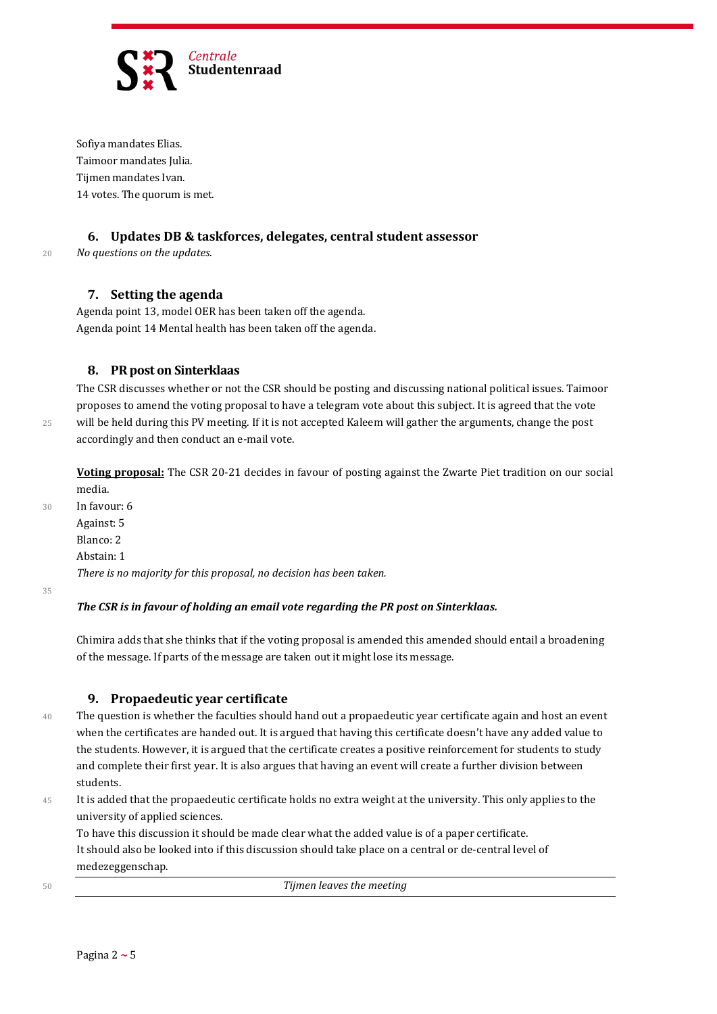

Sofiya mandates Elias. Taimoor mandates Julia. Tijmen mandates Ivan. 14 votes. The quorum is met.

#### **6. Updates DB & taskforces, delegates, central student assessor**

# <sup>20</sup> *No questions on the updates*.

#### **7. Setting the agenda**

Agenda point 13, model OER has been taken off the agenda. Agenda point 14 Mental health has been taken off the agenda.

#### **8. PR post on Sinterklaas**

The CSR discusses whether or not the CSR should be posting and discussing national political issues. Taimoor proposes to amend the voting proposal to have a telegram vote about this subject. It is agreed that the vote 25 will be held during this PV meeting. If it is not accepted Kaleem will gather the arguments, change the post accordingly and then conduct an e-mail vote.

**Voting proposal:** The CSR 20-21 decides in favour of posting against the Zwarte Piet tradition on our social media.

30 In favour: 6 Against: 5 Blanco: 2 Abstain: 1 *There is no majority for this proposal, no decision has been taken.*

35

#### *The CSR is in favour of holding an email vote regarding the PR post on Sinterklaas.*

Chimira adds that she thinks that if the voting proposal is amended this amended should entail a broadening of the message. If parts of the message are taken out it might lose its message.

#### **9. Propaedeutic year certificate**

40 The question is whether the faculties should hand out a propaedeutic year certificate again and host an event when the certificates are handed out. It is argued that having this certificate doesn't have any added value to the students. However, it is argued that the certificate creates a positive reinforcement for students to study and complete their first year. It is also argues that having an event will create a further division between students.

45 It is added that the propaedeutic certificate holds no extra weight at the university. This only applies to the university of applied sciences.

To have this discussion it should be made clear what the added value is of a paper certificate. It should also be looked into if this discussion should take place on a central or de-central level of medezeggenschap.

<sup>50</sup> *Tijmen leaves the meeting*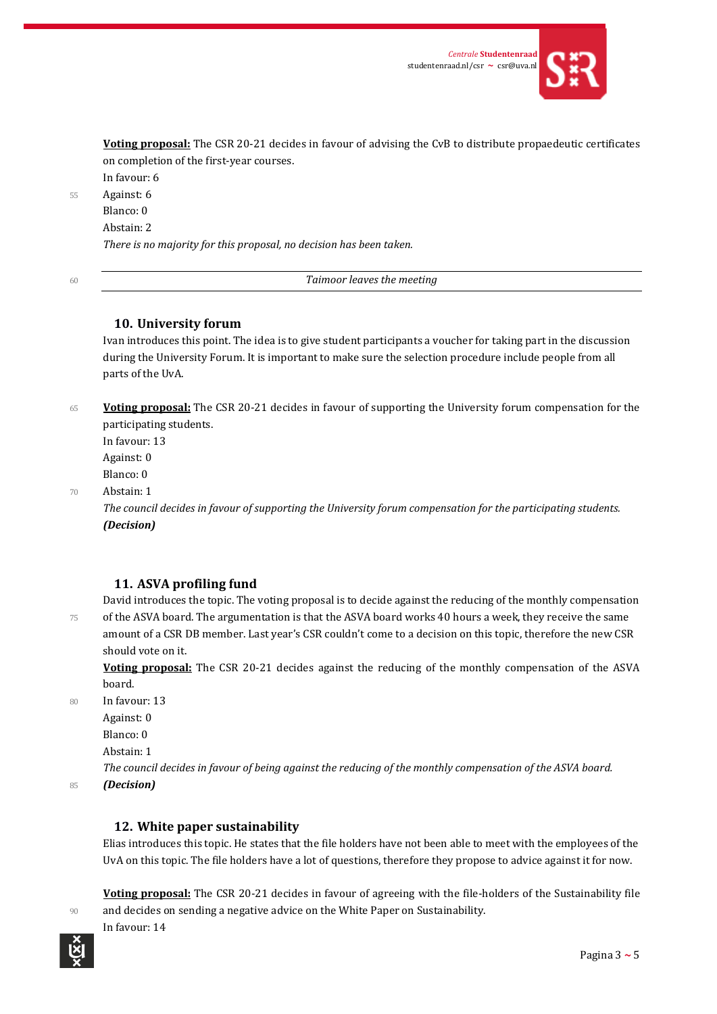

**Voting proposal:** The CSR 20-21 decides in favour of advising the CvB to distribute propaedeutic certificates on completion of the first-year courses.

In favour: 6 55 Against: 6

Blanco: 0 Abstain: 2 *There is no majority for this proposal, no decision has been taken.*

<sup>60</sup> *Taimoor leaves the meeting*

# **10. University forum**

Ivan introduces this point. The idea is to give student participants a voucher for taking part in the discussion during the University Forum. It is important to make sure the selection procedure include people from all parts of the UvA.

<sup>65</sup> **Voting proposal:** The CSR 20-21 decides in favour of supporting the University forum compensation for the participating students.

In favour: 13 Against: 0 Blanco: 0

70 Abstain: 1

*The council decides in favour of supporting the University forum compensation for the participating students. (Decision)*

# **11. ASVA profiling fund**

David introduces the topic. The voting proposal is to decide against the reducing of the monthly compensation 75 of the ASVA board. The argumentation is that the ASVA board works 40 hours a week, they receive the same amount of a CSR DB member. Last year's CSR couldn't come to a decision on this topic, therefore the new CSR should vote on it.

**Voting proposal:** The CSR 20-21 decides against the reducing of the monthly compensation of the ASVA board.

80 In favour: 13

Against: 0

Blanco: 0

Abstain: 1

In favour: 14

*The council decides in favour of being against the reducing of the monthly compensation of the ASVA board.*

<sup>85</sup> *(Decision)*

# **12. White paper sustainability**

Elias introduces this topic. He states that the file holders have not been able to meet with the employees of the UvA on this topic. The file holders have a lot of questions, therefore they propose to advice against it for now.

**Voting proposal:** The CSR 20-21 decides in favour of agreeing with the file-holders of the Sustainability file 90 and decides on sending a negative advice on the White Paper on Sustainability.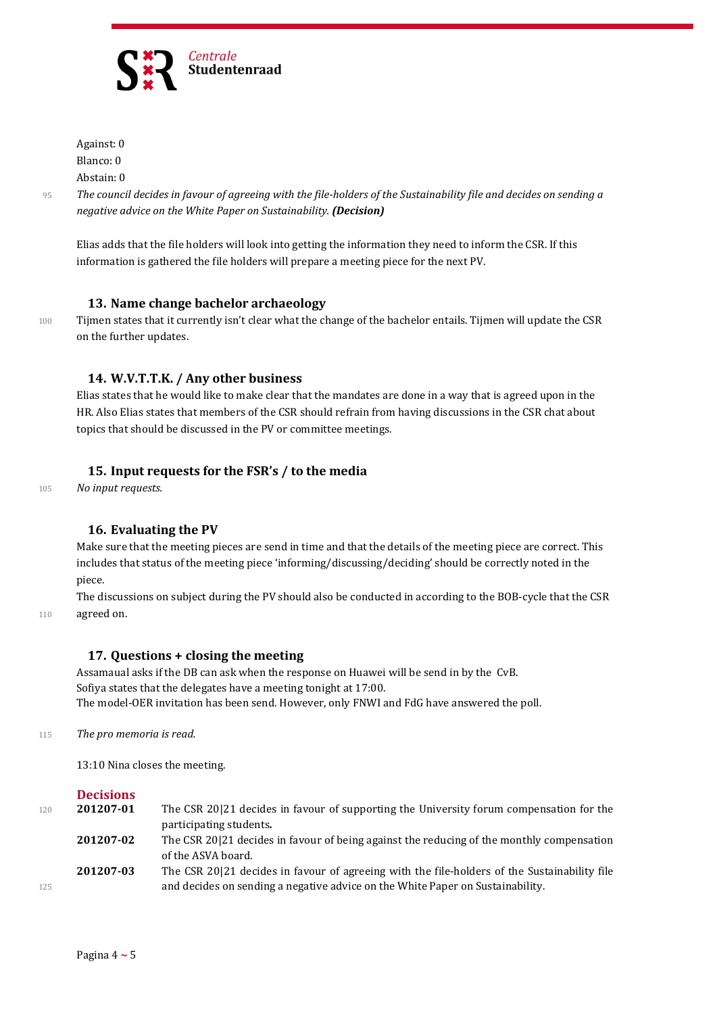

Against: 0 Blanco: 0

Abstain: 0

<sup>95</sup> *The council decides in favour of agreeing with the file-holders of the Sustainability file and decides on sending a negative advice on the White Paper on Sustainability. (Decision)*

Elias adds that the file holders will look into getting the information they need to inform the CSR. If this information is gathered the file holders will prepare a meeting piece for the next PV.

#### **13. Name change bachelor archaeology**

100 Tijmen states that it currently isn't clear what the change of the bachelor entails. Tijmen will update the CSR on the further updates.

# **14. W.V.T.T.K. / Any other business**

Elias states that he would like to make clear that the mandates are done in a way that is agreed upon in the HR. Also Elias states that members of the CSR should refrain from having discussions in the CSR chat about topics that should be discussed in the PV or committee meetings.

# **15. Input requests for the FSR's / to the media**

<sup>105</sup> *No input requests.*

# **16. Evaluating the PV**

Make sure that the meeting pieces are send in time and that the details of the meeting piece are correct. This includes that status of the meeting piece 'informing/discussing/deciding' should be correctly noted in the piece.

The discussions on subject during the PV should also be conducted in according to the BOB-cycle that the CSR 110 agreed on.

# **17. Questions + closing the meeting**

Assamaual asks if the DB can ask when the response on Huawei will be send in by the CvB. Sofiya states that the delegates have a meeting tonight at 17:00. The model-OER invitation has been send. However, only FNWI and FdG have answered the poll.

<sup>115</sup> *The pro memoria is read.*

13:10 Nina closes the meeting.

#### **Decisions**

| 120 | 201207-01 | The CSR 20 21 decides in favour of supporting the University forum compensation for the                         |
|-----|-----------|-----------------------------------------------------------------------------------------------------------------|
|     |           | participating students.                                                                                         |
|     | 201207-02 | The CSR 20121 decides in favour of being against the reducing of the monthly compensation<br>of the ASVA board. |
|     | 201207-03 | The CSR 20 21 decides in favour of agreeing with the file-holders of the Sustainability file                    |
| 125 |           | and decides on sending a negative advice on the White Paper on Sustainability.                                  |